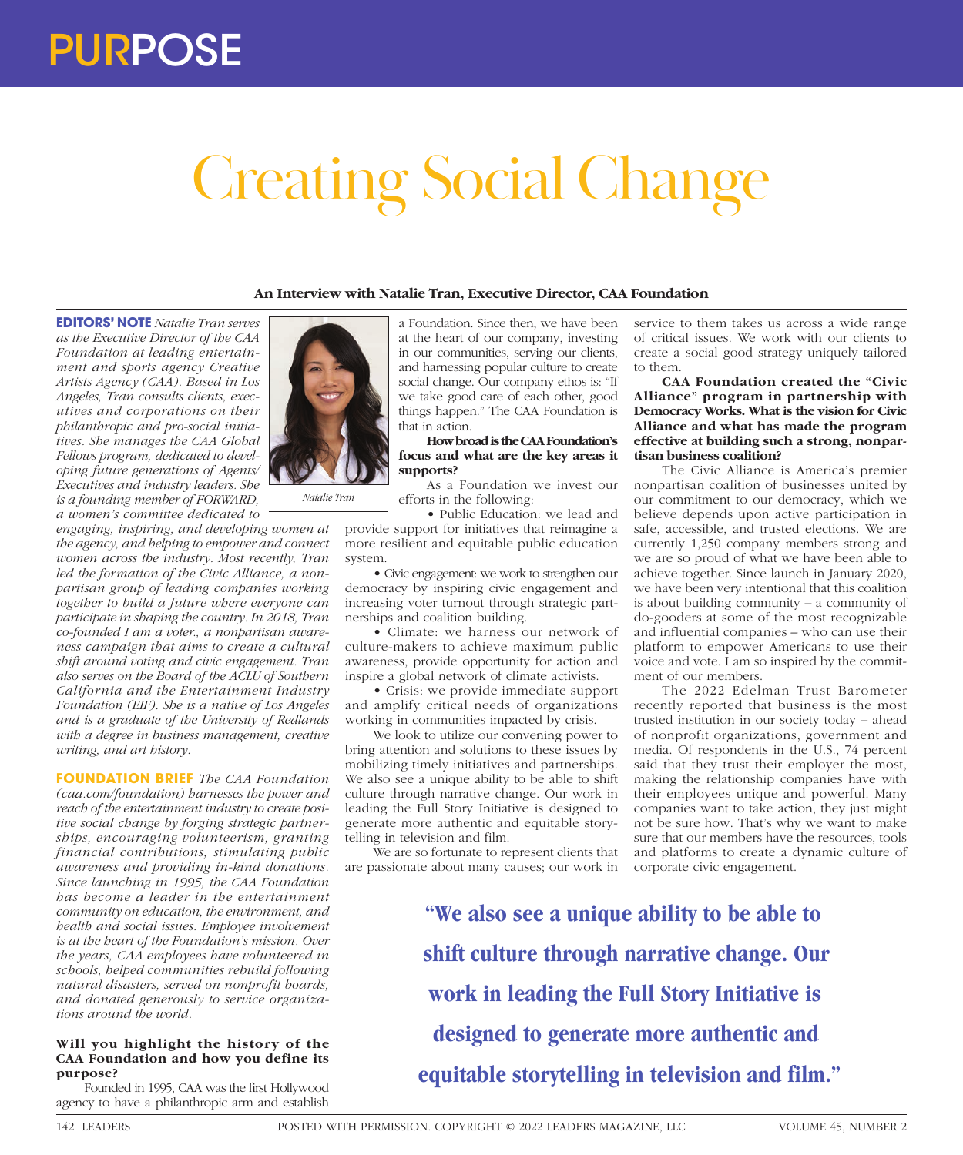# Creating Social Change

## **An Interview with Natalie Tran, Executive Director, CAA Foundation**

**EDITORS' NOTE** *Natalie Tran serves as the Executive Director of the CAA Foundation at leading entertainment and sports agency Creative Artists Agency (CAA). Based in Los Angeles, Tran consults clients, executives and corporations on their philanthropic and pro-social initiatives. She manages the CAA Global Fellows program, dedicated to developing future generations of Agents/ Executives and industry leaders. She is a founding member of FORWARD, a women's committee dedicated to* 

*engaging, inspiring, and developing women at the agency, and helping to empower and connect women across the industry. Most recently, Tran led the formation of the Civic Alliance, a nonpartisan group of leading companies working together to build a future where everyone can participate in shaping the country. In 2018, Tran co-founded I am a voter., a nonpartisan awareness campaign that aims to create a cultural shift around voting and civic engagement. Tran also serves on the Board of the ACLU of Southern California and the Entertainment Industry Foundation (EIF). She is a native of Los Angeles and is a graduate of the University of Redlands with a degree in business management, creative writing, and art history.*

**FOUNDATION BRIEF** *The CAA Foundation (caa.com/foundation) harnesses the power and reach of the entertainment industry to create positive social change by forging strategic partnerships, encouraging volunteerism, granting financial contributions, stimulating public awareness and providing in-kind donations. Since launching in 1995, the CAA Foundation has become a leader in the entertainment community on education, the environment, and health and social issues. Employee involvement is at the heart of the Foundation's mission. Over the years, CAA employees have volunteered in schools, helped communities rebuild following natural disasters, served on nonprofit boards, and donated generously to service organizations around the world.*

## **Will you highlight the history of the CAA Foundation and how you define its purpose?**

Founded in 1995, CAA was the first Hollywood agency to have a philanthropic arm and establish



*Natalie Tran*

a Foundation. Since then, we have been at the heart of our company, investing in our communities, serving our clients, and harnessing popular culture to create social change. Our company ethos is: "If we take good care of each other, good things happen." The CAA Foundation is that in action.

## **How broad is the CAA Foundation's focus and what are the key areas it supports?**

As a Foundation we invest our efforts in the following:

• Public Education: we lead and provide support for initiatives that reimagine a more resilient and equitable public education system.

• Civic engagement: we work to strengthen our democracy by inspiring civic engagement and increasing voter turnout through strategic partnerships and coalition building.

• Climate: we harness our network of culture-makers to achieve maximum public awareness, provide opportunity for action and inspire a global network of climate activists.

• Crisis: we provide immediate support and amplify critical needs of organizations working in communities impacted by crisis.

We look to utilize our convening power to bring attention and solutions to these issues by mobilizing timely initiatives and partnerships. We also see a unique ability to be able to shift culture through narrative change. Our work in leading the Full Story Initiative is designed to generate more authentic and equitable storytelling in television and film.

We are so fortunate to represent clients that are passionate about many causes; our work in

service to them takes us across a wide range of critical issues. We work with our clients to create a social good strategy uniquely tailored to them.

**CAA Foundation created the "Civic Alliance" program in partnership with Democracy Works. What is the vision for Civic Alliance and what has made the program effective at building such a strong, nonpartisan business coalition?**

The Civic Alliance is America's premier nonpartisan coalition of businesses united by our commitment to our democracy, which we believe depends upon active participation in safe, accessible, and trusted elections. We are currently 1,250 company members strong and we are so proud of what we have been able to achieve together. Since launch in January 2020, we have been very intentional that this coalition is about building community – a community of do-gooders at some of the most recognizable and influential companies – who can use their platform to empower Americans to use their voice and vote. I am so inspired by the commitment of our members.

The 2022 Edelman Trust Barometer recently reported that business is the most trusted institution in our society today – ahead of nonprofit organizations, government and media. Of respondents in the U.S., 74 percent said that they trust their employer the most, making the relationship companies have with their employees unique and powerful. Many companies want to take action, they just might not be sure how. That's why we want to make sure that our members have the resources, tools and platforms to create a dynamic culture of corporate civic engagement.

**"We also see a unique ability to be able to shift culture through narrative change. Our work in leading the Full Story Initiative is designed to generate more authentic and equitable storytelling in television and film."**